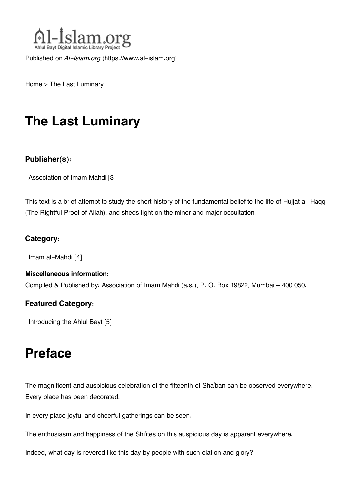

Published on *Al-Islam.org* ([https://www.al-islam.org\)](https://www.al-islam.org)

[Home](https://www.al-islam.org/) > The Last Luminary

# **The Last Luminary**

### **Publisher(s):**

[Association of Imam Mahdi](https://www.al-islam.org/organization/association-imam-mahdi) [3]

This text is a brief attempt to study the short history of the fundamental belief to the life of Hujjat al-Haqq (The Rightful Proof of Allah), and sheds light on the minor and major occultation.

### **Category:**

[Imam al-Mahdi](https://www.al-islam.org/library/imam-al-mahdi) [4]

#### **Miscellaneous information:**

Compiled & Published by: Association of Imam Mahdi (a.s.), P. O. Box 19822, Mumbai – 400 050.

#### **Featured Category:**

[Introducing the Ahlul Bayt](https://www.al-islam.org/feature/introducing-ahlul-bayt) [5]

## **Preface**

The magnificent and auspicious celebration of the fifteenth of Sha'ban can be observed everywhere. Every place has been decorated.

In every place joyful and cheerful gatherings can be seen.

The enthusiasm and happiness of the Shi'ites on this auspicious day is apparent everywhere.

Indeed, what day is revered like this day by people with such elation and glory?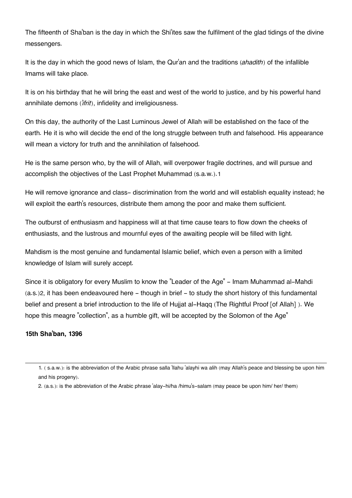The fifteenth of Sha'ban is the day in which the Shi'ites saw the fulfilment of the glad tidings of the divine messengers.

It is the day in which the good news of Islam, the Qur'an and the traditions (*ahadith*) of the infallible Imams will take place.

It is on his birthday that he will bring the east and west of the world to justice, and by his powerful hand annihilate demons (*'ifrit*), infidelity and irreligiousness.

On this day, the authority of the Last Luminous Jewel of Allah will be established on the face of the earth. He it is who will decide the end of the long struggle between truth and falsehood. His appearance will mean a victory for truth and the annihilation of falsehood.

<span id="page-1-2"></span>He is the same person who, by the will of Allah, will overpower fragile doctrines, and will pursue and accomplish the objectives of the Last Prophet Muhammad (s.a.w.).[1](#page-1-0)

He will remove ignorance and class- discrimination from the world and will establish equality instead; he will exploit the earth's resources, distribute them among the poor and make them sufficient.

The outburst of enthusiasm and happiness will at that time cause tears to flow down the cheeks of enthusiasts, and the lustrous and mournful eyes of the awaiting people will be filled with light.

Mahdism is the most genuine and fundamental Islamic belief, which even a person with a limited knowledge of Islam will surely accept.

<span id="page-1-3"></span>Since it is obligatory for every Muslim to know the "Leader of the Age" - Imam Muhammad al-Mahdi (a.s.)[2](#page-1-1), it has been endeavoured here - though in brief - to study the short history of this fundamental belief and present a brief introduction to the life of Hujjat al-Haqq (The Rightful Proof [of Allah] ). We hope this meagre "collection", as a humble gift, will be accepted by the Solomon of the Age"

#### **15th Sha'ban, 1396**

<span id="page-1-1"></span>[2.](#page-1-3) (a.s.): is the abbreviation of the Arabic phrase 'alay-hi/ha /himu's-salam (may peace be upon him/ her/ them)

<span id="page-1-0"></span>[<sup>1.</sup>](#page-1-2) ( s.a.w.): is the abbreviation of the Arabic phrase salla 'llahu 'alayhi wa alih (may Allah's peace and blessing be upon him and his progeny).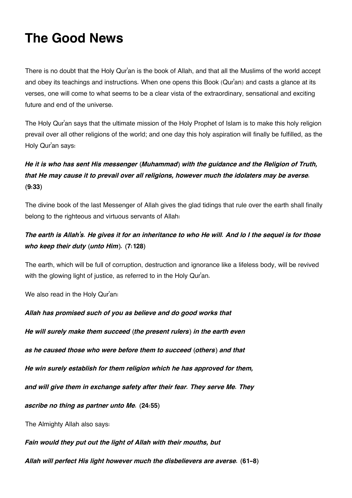## **The Good News**

There is no doubt that the Holy Qur'an is the book of Allah, and that all the Muslims of the world accept and obey its teachings and instructions. When one opens this Book (Qur'an) and casts a glance at its verses, one will come to what seems to be a clear vista of the extraordinary, sensational and exciting future and end of the universe.

The Holy Qur'an says that the ultimate mission of the Holy Prophet of Islam is to make this holy religion prevail over all other religions of the world; and one day this holy aspiration will finally be fulfilled, as the Holy Qur'an says:

### *He it is who has sent His messenger (Muhammad) with the guidance and the Religion of Truth, that He may cause it to prevail over all religions, however much the idolaters may be averse.* **(9:33)**

The divine book of the last Messenger of Allah gives the glad tidings that rule over the earth shall finally belong to the righteous and virtuous servants of Allah:

### *The earth is Allah's. He gives it for an inheritance to who He will. And lo I the sequel is for those who keep their duty (unto Him).* **(7:128)**

The earth, which will be full of corruption, destruction and ignorance like a lifeless body, will be revived with the glowing light of justice, as referred to in the Holy Qur'an.

We also read in the Holy Qur'an:

*Allah has promised such of you as believe and do good works that*

*He will surely make them succeed (the present rulers) in the earth even*

*as he caused those who were before them to succeed (others) and that*

*He win surely establish for them religion which he has approved for them,*

*and will give them in exchange safety after their fear. They serve Me. They*

*ascribe no thing as partner unto Me.* **(24:55)**

The Almighty Allah also says:

*Fain would they put out the light of Allah with their mouths, but*

*Allah will perfect His light however much the disbelievers are averse.* **(61-8)**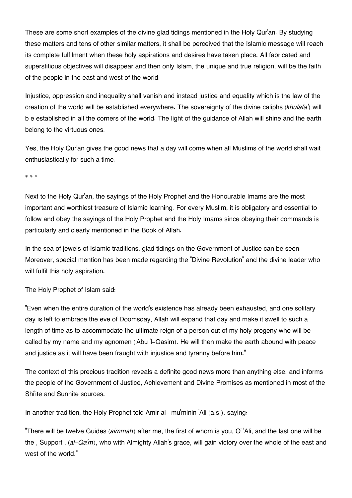These are some short examples of the divine glad tidings mentioned in the Holy Qur'an. By studying these matters and tens of other similar matters, it shall be perceived that the Islamic message will reach its complete fulfilment when these holy aspirations and desires have taken place. All fabricated and superstitious objectives will disappear and then only Islam, the unique and true religion, will be the faith of the people in the east and west of the world.

Injustice, oppression and inequality shall vanish and instead justice and equality which is the law of the creation of the world will be established everywhere. The sovereignty of the divine caliphs (*khulafa'*) will b e established in all the corners of the world. The light of the guidance of Allah will shine and the earth belong to the virtuous ones.

Yes, the Holy Qur'an gives the good news that a day will come when all Muslims of the world shall wait enthusiastically for such a time.

\* \* \*

Next to the Holy Qur'an, the sayings of the Holy Prophet and the Honourable Imams are the most important and worthiest treasure of Islamic learning. For every Muslim, it is obligatory and essential to follow and obey the sayings of the Holy Prophet and the Holy Imams since obeying their commands is particularly and clearly mentioned in the Book of Allah.

In the sea of jewels of Islamic traditions, glad tidings on the Government of Justice can be seen. Moreover, special mention has been made regarding the "Divine Revolution" and the divine leader who will fulfil this holy aspiration.

The Holy Prophet of Islam said:

"Even when the entire duration of the world's existence has already been exhausted, and one solitary day is left to embrace the eve of Doomsday, Allah will expand that day and make it swell to such a length of time as to accommodate the ultimate reign of a person out of my holy progeny who will be called by my name and my agnomen ('Abu 'l-Qasim). He will then make the earth abound with peace and justice as it will have been fraught with injustice and tyranny before him."

The context of this precious tradition reveals a definite good news more than anything else. and informs the people of the Government of Justice, Achievement and Divine Promises as mentioned in most of the Shi'ite and Sunnite sources.

In another tradition, the Holy Prophet told Amir al- mu'minin 'Ali (a.s.), saying:

"There will be twelve Guides (*aimmah*) after me, the first of whom is you, O' 'Ali, and the last one will be the , Support , (*al-Qa'm*), who with Almighty Allah's grace, will gain victory over the whole of the east and west of the world."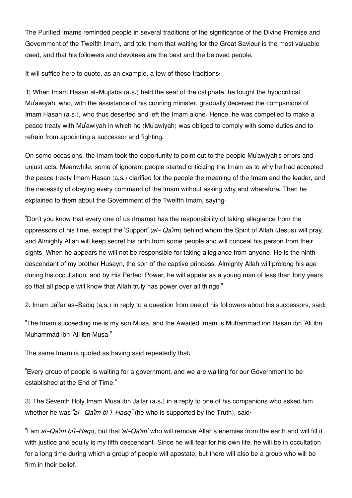The Purified Imams reminded people in several traditions of the significance of the Divine Promise and Government of the Twelfth Imam, and told them that waiting for the Great Saviour is the most valuable deed, and that his followers and devotees are the best and the beloved people.

It will suffice here to quote, as an example, a few of these traditions:

1) When Imam Hasan al-Mujtaba (a.s.) held the seat of the caliphate, he fought the hypocritical Mu'awiyah, who, with the assistance of his cunning minister, gradually deceived the companions of Imam Hasan (a.s.), who thus deserted and left the Imam alone. Hence, he was compelled to make a peace treaty with Mu'awiyah in which he (Mu'awiyah) was obliged to comply with some duties and to refrain from appointing a successor and fighting.

On some occasions, the Imam took the opportunity to point out to the people Mu'awiyah's errors and unjust acts. Meanwhile, some of ignorant people started criticizing the Imam as to why he had accepted the peace treaty Imam Hasan (a.s.) clarified for the people the meaning of the Imam and the leader, and the necessity of obeying every command of the Imam without asking why and wherefore. Then he explained to them about the Government of the Twelfth Imam, saying:

"Don't you know that every one of us (Imams) has the responsibility of taking allegiance from the oppressors of his time, except the 'Support' (*al- Qa'im*) behind whom the Spirit of Allah (Jesus) will pray, and Almighty Allah will keep secret his birth from some people and will conceal his person from their sights. When he appears he will not be responsible for taking allegiance from anyone. He is the ninth descendant of my brother Husayn, the son of the captive princess. Almighty Allah will prolong his age during his occultation, and by His Perfect Power, he will appear as a young man of less than forty years so that all people will know that Allah truly has power over all things."

2. Imam Ja'far as-Sadiq (a.s.) in reply to a question from one of his followers about his successors, said:

"The Imam succeeding me is my son Musa, and the Awaited Imam is Muhammad ibn Hasan ibn 'Ali ibn Muhammad ibn 'Ali ibn Musa."

The same Imam is quoted as having said repeatedly that:

"Every group of people is waiting for a government, and we are waiting for our Government to be established at the End of Time."

3) The Seventh Holy Imam Musa ibn Ja'far (a.s.) in a reply to one of his companions who asked him whether he was "al- Qa'im bi 'l-Haqq" (he who is supported by the Truth), said:

"I am *al-Qa'im bi'l-Haqq*, but that *'al-Qa'im'* who will remove Allah's enemies from the earth and will fill it with justice and equity is my fifth descendant. Since he will fear for his own life, he will be in occultation for a long time during which a group of people will apostate, but there will also be a group who will be firm in their belief."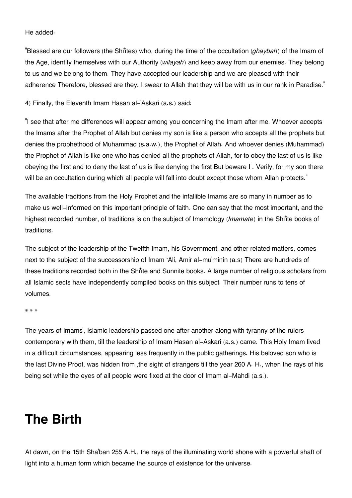He added:

"Blessed are our followers (the Shi'ites) who, during the time of the occultation (*ghaybah*) of the Imam of the Age, identify themselves with our Authority (*wilayah*) and keep away from our enemies. They belong to us and we belong to them. They have accepted our leadership and we are pleased with their adherence Therefore, blessed are they. I swear to Allah that they will be with us in our rank in Paradise."

4) Finally, the Eleventh Imam Hasan al-'Askari (a.s.) said:

"I see that after me differences will appear among you concerning the Imam after me. Whoever accepts the Imams after the Prophet of Allah but denies my son is like a person who accepts all the prophets but denies the prophethood of Muhammad (s.a.w.), the Prophet of Allah. And whoever denies (Muhammad) the Prophet of Allah is like one who has denied all the prophets of Allah, for to obey the last of us is like obeying the first and to deny the last of us is like denying the first But beware I . Verily, for my son there will be an occultation during which all people will fall into doubt except those whom Allah protects."

The available traditions from the Holy Prophet and the infallible Imams are so many in number as to make us well-informed on this important principle of faith. One can say that the most important, and the highest recorded number, of traditions is on the subject of Imamology (*Imamate*) in the Shi'ite books of traditions.

The subject of the leadership of the Twelfth Imam, his Government, and other related matters, comes next to the subject of the successorship of Imam 'Ali, Amir al-mu'minin (a.s) There are hundreds of these traditions recorded both in the Shi'ite and Sunnite books. A large number of religious scholars from all Islamic sects have independently compiled books on this subject. Their number runs to tens of volumes.

\* \* \*

The years of Imams', Islamic leadership passed one after another along with tyranny of the rulers contemporary with them, till the leadership of Imam Hasan al-Askari (a.s.) came. This Holy Imam lived in a difficult circumstances, appearing less frequently in the public gatherings. His beloved son who is the last Divine Proof, was hidden from ,the sight of strangers till the year 260 A. H., when the rays of his being set while the eyes of all people were fixed at the door of Imam al-Mahdi (a.s.).

## **The Birth**

At dawn, on the 15th Sha'ban 255 A.H., the rays of the illuminating world shone with a powerful shaft of light into a human form which became the source of existence for the universe.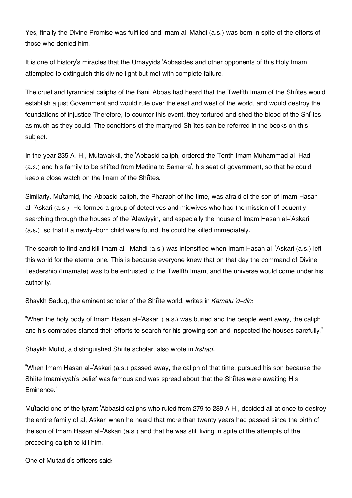Yes, finally the Divine Promise was fulfilled and Imam al-Mahdi (a.s.) was born in spite of the efforts of those who denied him.

It is one of history's miracles that the Umayyids 'Abbasides and other opponents of this Holy Imam attempted to extinguish this divine light but met with complete failure.

The cruel and tyrannical caliphs of the Bani 'Abbas had heard that the Twelfth Imam of the Shi'ites would establish a just Government and would rule over the east and west of the world, and would destroy the foundations of injustice Therefore, to counter this event, they tortured and shed the blood of the Shi'ites as much as they could. The conditions of the martyred Shi'ites can be referred in the books on this subject.

In the year 235 A. H., Mutawakkil, the 'Abbasid caliph, ordered the Tenth Imam Muhammad al-Hadi (a.s.) and his family to be shifted from Medina to Samarra', his seat of government, so that he could keep a close watch on the Imam of the Shi'ites.

Similarly, Mu'tamid, the 'Abbasid caliph, the Pharaoh of the time, was afraid of the son of Imam Hasan al-'Askari (a.s.). He formed a group of detectives and midwives who had the mission of frequently searching through the houses of the 'Alawiyyin, and especially the house of Imam Hasan al-'Askari (a.s.), so that if a newly-born child were found, he could be killed immediately.

The search to find and kill Imam al- Mahdi (a.s.) was intensified when Imam Hasan al-'Askari (a.s.) left this world for the eternal one. This is because everyone knew that on that day the command of Divine Leadership (Imamate) was to be entrusted to the Twelfth Imam, and the universe would come under his authority.

Shaykh Saduq, the eminent scholar of the Shi'ite world, writes in *Kamalu 'd-din:*

"When the holy body of Imam Hasan al-'Askari ( a.s.) was buried and the people went away, the caliph and his comrades started their efforts to search for his growing son and inspected the houses carefully."

Shaykh Mufid, a distinguished Shi'ite scholar, also wrote in *Irshad*:

"When Imam Hasan al-'Askari (a.s.) passed away, the caliph of that time, pursued his son because the Shi'ite Imamiyyah's belief was famous and was spread about that the Shi'ites were awaiting His Eminence."

Mu'tadid one of the tyrant 'Abbasid caliphs who ruled from 279 to 289 A H., decided all at once to destroy the entire family of al, Askari when he heard that more than twenty years had passed since the birth of the son of Imam Hasan al-'Askari (a.s ) and that he was still living in spite of the attempts of the preceding caliph to kill him.

One of Mu'tadid's officers said: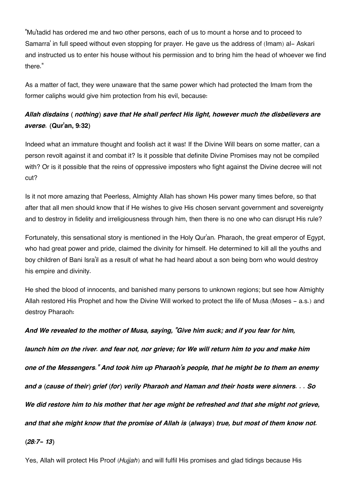"Mu'tadid has ordered me and two other persons, each of us to mount a horse and to proceed to Samarra' in full speed without even stopping for prayer. He gave us the address of (Imam) al- Askari and instructed us to enter his house without his permission and to bring him the head of whoever we find there."

As a matter of fact, they were unaware that the same power which had protected the Imam from the former caliphs would give him protection from his evil, because:

### *Allah disdains ( nothing) save that He shall perfect His light, however much the disbelievers are averse.* **(Qur'an, 9:32)**

Indeed what an immature thought and foolish act it was! If the Divine Will bears on some matter, can a person revolt against it and combat it? Is it possible that definite Divine Promises may not be compiled with? Or is it possible that the reins of oppressive imposters who fight against the Divine decree will not cut?

Is it not more amazing that Peerless, Almighty Allah has shown His power many times before, so that after that all men should know that if He wishes to give His chosen servant government and sovereignty and to destroy in fidelity and irreligiousness through him, then there is no one who can disrupt His rule?

Fortunately, this sensational story is mentioned in the Holy Qur'an. Pharaoh, the great emperor of Egypt, who had great power and pride, claimed the divinity for himself. He determined to kill all the youths and boy children of Bani Isra'il as a result of what he had heard about a son being born who would destroy his empire and divinity.

He shed the blood of innocents, and banished many persons to unknown regions; but see how Almighty Allah restored His Prophet and how the Divine Will worked to protect the life of Musa (Moses - a.s.) and destroy Pharaoh:

*And We revealed to the mother of Musa, saying, "Give him suck; and if you fear for him, launch him on the river. and fear not, nor grieve; for We will return him to you and make him one of the Messengers." And took him up Pharaoh's people, that he might be to them an enemy and a (cause of their) grief (for) verily Pharaoh and Haman and their hosts were sinners. . . So We did restore him to his mother that her age might be refreshed and that she might not grieve, and that she might know that the promise of Allah is (always) true, but most of them know not. (28:7- 13)*

Yes, Allah will protect His Proof (*Hujjah*) and will fulfil His promises and glad tidings because His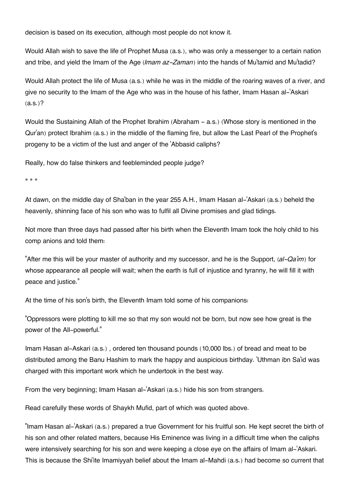decision is based on its execution, although most people do not know it.

Would Allah wish to save the life of Prophet Musa (a.s.), who was only a messenger to a certain nation and tribe, and yield the Imam of the Age (*Imam az-Zaman*) into the hands of Mu'tamid and Mu'tadid?

Would Allah protect the life of Musa (a.s.) while he was in the middle of the roaring waves of a river, and give no security to the Imam of the Age who was in the house of his father, Imam Hasan al-'Askari  $(a.s.)$ ?

Would the Sustaining Allah of the Prophet Ibrahim (Abraham - a.s.) (Whose story is mentioned in the Qur'an) protect Ibrahim (a.s.) in the middle of the flaming fire, but allow the Last Pearl of the Prophet's progeny to be a victim of the lust and anger of the 'Abbasid caliphs?

Really, how do false thinkers and feebleminded people judge?

\* \* \*

At dawn, on the middle day of Sha'ban in the year 255 A.H., Imam Hasan al-'Askari (a.s.) beheld the heavenly, shinning face of his son who was to fulfil all Divine promises and glad tidings.

Not more than three days had passed after his birth when the Eleventh Imam took the holy child to his comp anions and told them:

"After me this will be your master of authority and my successor, and he is the Support, (*al-Qa'im*) for whose appearance all people will wait; when the earth is full of injustice and tyranny, he will fill it with peace and justice."

At the time of his son's birth, the Eleventh Imam told some of his companions:

"Oppressors were plotting to kill me so that my son would not be born, but now see how great is the power of the All-powerful."

Imam Hasan al-Askari (a.s.) , ordered ten thousand pounds (10,000 lbs.) of bread and meat to be distributed among the Banu Hashim to mark the happy and auspicious birthday. 'Uthman ibn Sa'id was charged with this important work which he undertook in the best way.

From the very beginning; Imam Hasan al-'Askari (a.s.) hide his son from strangers.

Read carefully these words of Shaykh Mufid, part of which was quoted above.

"Imam Hasan al-'Askari (a.s.) prepared a true Government for his fruitful son. He kept secret the birth of his son and other related matters, because His Eminence was living in a difficult time when the caliphs were intensively searching for his son and were keeping a close eye on the affairs of Imam al-'Askari. This is because the Shi'ite Imamiyyah belief about the Imam al-Mahdi (a.s.) had become so current that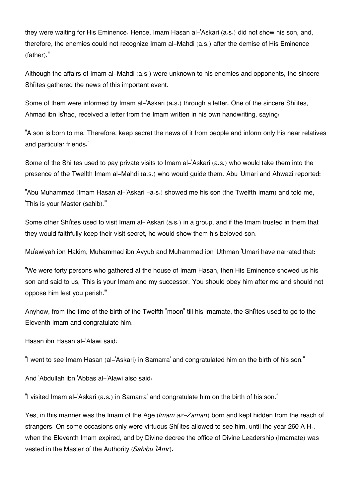they were waiting for His Eminence. Hence, Imam Hasan al-'Askari (a.s.) did not show his son, and, therefore, the enemies could not recognize Imam al-Mahdi (a.s.) after the demise of His Eminence (father)."

Although the affairs of Imam al-Mahdi (a.s.) were unknown to his enemies and opponents, the sincere Shi'ites gathered the news of this important event.

Some of them were informed by Imam al-'Askari (a.s.) through a letter. One of the sincere Shi'ites, Ahmad ibn Is'haq, received a letter from the Imam written in his own handwriting, saying:

"A son is born to me. Therefore, keep secret the news of it from people and inform only his near relatives and particular friends."

Some of the Shi'ites used to pay private visits to Imam al-'Askari (a.s.) who would take them into the presence of the Twelfth Imam al-Mahdi (a.s.) who would guide them. Abu 'Umari and Ahwazi reported:

"Abu Muhammad (Imam Hasan al-'Askari -a.s.) showed me his son (the Twelfth Imam) and told me, 'This is your Master (sahib)."

Some other Shi'ites used to visit Imam al-'Askari (a.s.) in a group, and if the Imam trusted in them that they would faithfully keep their visit secret, he would show them his beloved son.

Mu'awiyah ibn Hakim, Muhammad ibn Ayyub and Muhammad ibn 'Uthman 'Umari have narrated that:

"We were forty persons who gathered at the house of Imam Hasan, then His Eminence showed us his son and said to us, 'This is your Imam and my successor. You should obey him after me and should not oppose him lest you perish.'"

Anyhow, from the time of the birth of the Twelfth "moon" till his Imamate, the Shi'ites used to go to the Eleventh Imam and congratulate him.

Hasan ibn Hasan al-'Alawi said:

"I went to see Imam Hasan (al-'Askari) in Samarra' and congratulated him on the birth of his son."

And 'Abdullah ibn 'Abbas al-'Alawi also said:

"I visited Imam al-'Askari (a.s.) in Samarra' and congratulate him on the birth of his son."

Yes, in this manner was the Imam of the Age (*Imam az-Zaman*) born and kept hidden from the reach of strangers. On some occasions only were virtuous Shi'ites allowed to see him, until the year 260 A H., when the Eleventh Imam expired, and by Divine decree the office of Divine Leadership (Imamate) was vested in the Master of the Authority (*Sahibu 'lAmr*).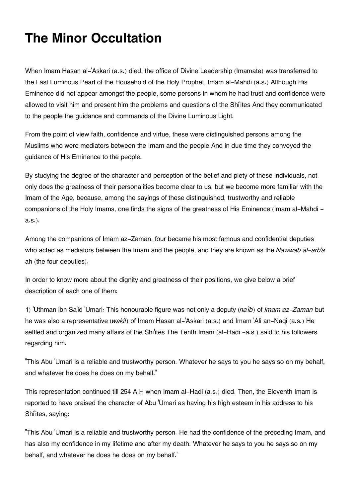# **The Minor Occultation**

When Imam Hasan al-'Askari (a.s.) died, the office of Divine Leadership (Imamate) was transferred to the Last Luminous Pearl of the Household of the Holy Prophet, Imam al-Mahdi (a.s.) Although His Eminence did not appear amongst the people, some persons in whom he had trust and confidence were allowed to visit him and present him the problems and questions of the Shi'ites And they communicated to the people the guidance and commands of the Divine Luminous Light.

From the point of view faith, confidence and virtue, these were distinguished persons among the Muslims who were mediators between the Imam and the people And in due time they conveyed the guidance of His Eminence to the people.

By studying the degree of the character and perception of the belief and piety of these individuals, not only does the greatness of their personalities become clear to us, but we become more familiar with the Imam of the Age, because, among the sayings of these distinguished, trustworthy and reliable companions of the Holy Imams, one finds the signs of the greatness of His Eminence (Imam al-Mahdi a.s.).

Among the companions of Imam az-Zaman, four became his most famous and confidential deputies who acted as mediators between the Imam and the people, and they are known as the *Nawwab al-arb'a* ah (the four deputies).

In order to know more about the dignity and greatness of their positions, we give below a brief description of each one of them:

1) 'Uthman ibn Sa'id 'Umari: This honourable figure was not only a deputy (*na'ib*) of *Imam az-Zaman* but he was also a representative (*wakil*) of Imam Hasan al-'Askari (a.s.) and Imam 'Ali an-Naqi (a.s.) He settled and organized many affairs of the Shi'ites The Tenth Imam (al-Hadi -a.s ) said to his followers regarding him.

"This Abu 'Umari is a reliable and trustworthy person. Whatever he says to you he says so on my behalf, and whatever he does he does on my behalf."

This representation continued till 254 A H when Imam al-Hadi (a.s.) died. Then, the Eleventh Imam is reported to have praised the character of Abu 'Umari as having his high esteem in his address to his Shi'ites, saying:

"This Abu 'Umari is a reliable and trustworthy person. He had the confidence of the preceding Imam, and has also my confidence in my lifetime and after my death. Whatever he says to you he says so on my behalf, and whatever he does he does on my behalf."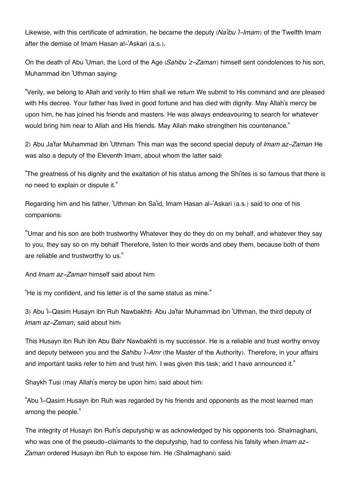Likewise, with this certificate of admiration, he became the deputy (*Na'ibu 'l-Imam*) of the Twelfth Imam after the demise of Imam Hasan al-'Askari (a.s.).

On the death of Abu 'Umari, the Lord of the Age (*Sahibu 'z-Zaman*) himself sent condolences to his son, Muhammad ibn 'Uthman saying:

"Verily, we belong to Allah and verily to Him shall we return We submit to His command and are pleased with His decree. Your father has lived in good fortune and has died with dignity. May Allah's mercy be upon him, he has joined his friends and masters. He was always endeavouring to search for whatever would bring him near to Allah and His friends. May Allah make strengthen his countenance."

2) Abu Ja'far Muhammad ibn 'Uthman: This man was the second special deputy of *Imam az-Zaman* He was also a deputy of the Eleventh Imam, about whom the latter said:

"The greatness of his dignity and the exaltation of his status among the Shi'ites is so famous that there is no need to explain or dispute it."

Regarding him and his father, 'Uthman ibn Sa'id, Imam Hasan al-'Askari (a.s.) said to one of his companions:

"'Umar and his son are both trustworthy Whatever they do they do on my behalf, and whatever they say to you, they say so on my behalf Therefore, listen to their words and obey them, because both of them are reliable and trustworthy to us."

And *Imam az-Zaman* himself said about him:

"He is my confident, and his letter is of the same status as mine."

3) Abu 'l-Qasim Husayn ibn Ruh Nawbakhti: Abu Ja'far Muhammad ibn 'Uthman, the third deputy of *Imam az-Zaman*, said about him:

This Husayn ibn Ruh ibn Abu Bahr Nawbakhti is my successor. He is a reliable and trust worthy envoy and deputy between you and the *Sahibu 'l-Amr* (the Master of the Authority). Therefore, in your affairs and important tasks refer to him and trust him. I was given this task; and I have announced it."

Shaykh Tusi (may Allah's mercy be upon him) said about him:

"Abu 'l-Qasim Husayn ibn Ruh was regarded by his friends and opponents as the most learned man among the people."

The integrity of Husayn ibn Ruh's deputyship w as acknowledged by his opponents too. Shalmaghani, who was one of the pseudo-claimants to the deputyship, had to confess his falsity when *Imam az-Zaman* ordered Husayn ibn Ruh to expose him. He (Shalmaghani) said: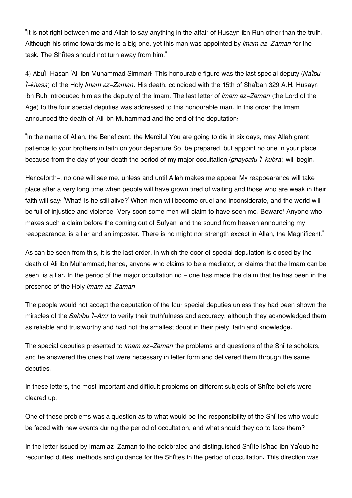"It is not right between me and Allah to say anything in the affair of Husayn ibn Ruh other than the truth. Although his crime towards me is a big one, yet this man was appointed by *Imam az-Zaman* for the task. The Shi'ites should not turn away from him."

4) Abu'l-Hasan 'Ali ibn Muhammad Simmari: This honourable figure was the last special deputy (*Na'ibu 'l-khass*) of the Holy *Imam az-Zaman*. His death, coincided with the 15th of Sha'ban 329 A.H. Husayn ibn Ruh introduced him as the deputy of the Imam. The last letter of *Imam az-Zaman* (the Lord of the Age) to the four special deputies was addressed to this honourable man. In this order the Imam announced the death of 'Ali ibn Muhammad and the end of the deputation:

"In the name of Allah, the Beneficent, the Merciful You are going to die in six days, may Allah grant patience to your brothers in faith on your departure So, be prepared, but appoint no one in your place, because from the day of your death the period of my major occultation (*ghaybatu 'l-kubra*) will begin.

Henceforth-, no one will see me, unless and until Allah makes me appear My reappearance will take place after a very long time when people will have grown tired of waiting and those who are weak in their faith will say: 'What! Is he still alive?' When men will become cruel and inconsiderate, and the world will be full of injustice and violence. Very soon some men will claim to have seen me. Beware! Anyone who makes such a claim before the coming out of Sufyani and the sound from heaven announcing my reappearance, is a liar and an imposter. There is no might nor strength except in Allah, the Magnificent."

As can be seen from this, it is the last order, in which the door of special deputation is closed by the death of Ali ibn Muhammad; hence, anyone who claims to be a mediator, or claims that the Imam can be seen, is a liar. In the period of the major occultation no - one has made the claim that he has been in the presence of the Holy *Imam az-Zaman*.

The people would not accept the deputation of the four special deputies unless they had been shown the miracles of the *Sahibu 'l-Amr* to verify their truthfulness and accuracy, although they acknowledged them as reliable and trustworthy and had not the smallest doubt in their piety, faith and knowledge.

The special deputies presented to *Imam az-Zaman* the problems and questions of the Shi'ite scholars, and he answered the ones that were necessary in letter form and delivered them through the same deputies.

In these letters, the most important and difficult problems on different subjects of Shi'ite beliefs were cleared up.

One of these problems was a question as to what would be the responsibility of the Shi'ites who would be faced with new events during the period of occultation, and what should they do to face them?

In the letter issued by Imam az-Zaman to the celebrated and distinguished Shi'ite Is'haq ibn Ya'qub he recounted duties, methods and guidance for the Shi'ites in the period of occultation. This direction was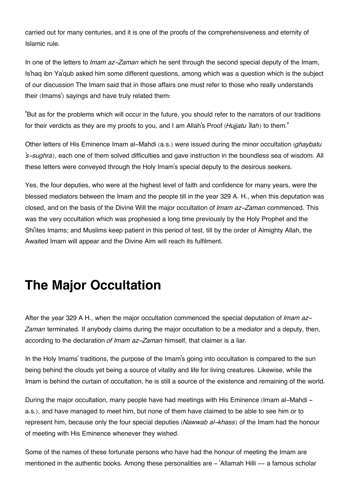carried out for many centuries, and it is one of the proofs of the comprehensiveness and eternity of Islamic rule.

In one of the letters to *Imam az-Zaman* which he sent through the second special deputy of the Imam, Is'haq ibn Ya'qub asked him some different questions, among which was a question which is the subject of our discussion The Imam said that in those affairs one must refer to those who really understands their (Imams') sayings and have truly related them:

"But as for the problems which will occur in the future, you should refer to the narrators of our traditions for their verdicts as they are my proofs to you, and I am Allah's Proof (*Hujjatu 'llah*) to them."

Other letters of His Eminence Imam al-Mahdi (a.s.) were issued during the minor occultation (*ghaybatu 's-sughra*), each one of them solved difficulties and gave instruction in the boundless sea of wisdom. All these letters were conveyed through the Holy Imam's special deputy to the desirous seekers.

Yes, the four deputies, who were at the highest level of faith and confidence for many years, were the blessed mediators between the Imam and the people till in the year 329 A. H., when this deputation was closed, and on the basis of the Divine Will the major occultation of *Imam az-Zaman* commenced. This was the very occultation which was prophesied a long time previously by the Holy Prophet and the Shi'ites Imams; and Muslims keep patient in this period of test, till by the order of Almighty Allah, the Awaited Imam will appear and the Divine Aim will reach its fulfilment.

## **The Major Occultation**

After the year 329 A H., when the major occultation commenced the special deputation of *Imam az-Zaman* terminated. If anybody claims during the major occultation to be a mediator and a deputy, then, according to the declaration *of Imam az-Zaman* himself, that claimer is a liar.

In the Holy Imams' traditions, the purpose of the Imam's going into occultation is compared to the sun being behind the clouds yet being a source of vitality and life for living creatures. Likewise, while the Imam is behind the curtain of occultation, he is still a source of the existence and remaining of the world.

During the major occultation, many people have had meetings with His Eminence (Imam al-Mahdi a.s.), and have managed to meet him, but none of them have claimed to be able to see him or to represent him, because only the four special deputies (*Nawwab al-khass*) of the Imam had the honour of meeting with His Eminence whenever they wished.

Some of the names of these fortunate persons who have had the honour of meeting the Imam are mentioned in the authentic books. Among these personalities are - 'Allamah Hilli -- a famous scholar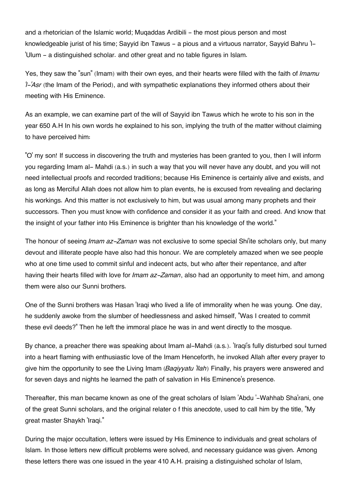and a rhetorician of the Islamic world; Mugaddas Ardibili – the most pious person and most knowledgeable jurist of his time; Sayyid ibn Tawus - a pious and a virtuous narrator, Sayyid Bahru 'l- 'Ulum - a distinguished scholar. and other great and no table figures in Islam.

Yes, they saw the "sun" (Imam) with their own eyes, and their hearts were filled with the faith of *Imamu 'l-'Asr* (the Imam of the Period), and with sympathetic explanations they informed others about their meeting with His Eminence.

As an example, we can examine part of the will of Sayyid ibn Tawus which he wrote to his son in the year 650 A.H In his own words he explained to his son, implying the truth of the matter without claiming to have perceived him:

"O' my son! If success in discovering the truth and mysteries has been granted to you, then I will inform you regarding Imam al- Mahdi (a.s.) in such a way that you will never have any doubt, and you will not need intellectual proofs and recorded traditions; because His Eminence is certainly alive and exists, and as long as Merciful Allah does not allow him to plan events, he is excused from revealing and declaring his workings. And this matter is not exclusively to him, but was usual among many prophets and their successors. Then you must know with confidence and consider it as your faith and creed. And know that the insight of your father into His Eminence is brighter than his knowledge of the world."

The honour of seeing *Imam az-Zaman* was not exclusive to some special Shi'ite scholars only, but many devout and illiterate people have also had this honour. We are completely amazed when we see people who at one time used to commit sinful and indecent acts, but who after their repentance, and after having their hearts filled with love for *Imam az-Zaman*, also had an opportunity to meet him, and among them were also our Sunni brothers.

One of the Sunni brothers was Hasan 'Iraqi who lived a life of immorality when he was young. One day, he suddenly awoke from the slumber of heedlessness and asked himself, "Was I created to commit these evil deeds?" Then he left the immoral place he was in and went directly to the mosque.

By chance, a preacher there was speaking about Imam al-Mahdi (a.s.). 'Iraqi's fully disturbed soul turned into a heart flaming with enthusiastic love of the Imam Henceforth, he invoked Allah after every prayer to give him the opportunity to see the Living Imam (*Baqiyyatu 'llah*) Finally, his prayers were answered and for seven days and nights he learned the path of salvation in His Eminence's presence.

Thereafter, this man became known as one of the great scholars of Islam 'Abdu '-Wahhab Sha'rani, one of the great Sunni scholars, and the original relater o f this anecdote, used to call him by the title, "My great master Shaykh 'Iraqi."

During the major occultation, letters were issued by His Eminence to individuals and great scholars of Islam. In those letters new difficult problems were solved, and necessary guidance was given. Among these letters there was one issued in the year 410 A.H. praising a distinguished scholar of Islam,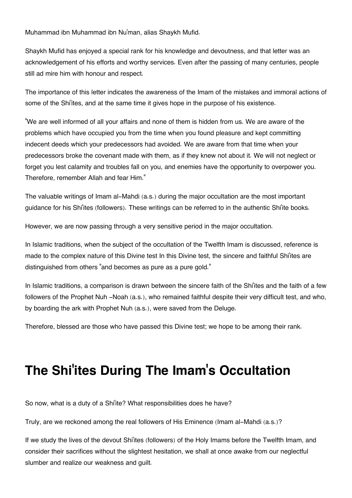Muhammad ibn Muhammad ibn Nu'man, alias Shaykh Mufid.

Shaykh Mufid has enjoyed a special rank for his knowledge and devoutness, and that letter was an acknowledgement of his efforts and worthy services. Even after the passing of many centuries, people still ad mire him with honour and respect.

The importance of this letter indicates the awareness of the Imam of the mistakes and immoral actions of some of the Shi'ites, and at the same time it gives hope in the purpose of his existence.

"We are well informed of all your affairs and none of them is hidden from us. We are aware of the problems which have occupied you from the time when you found pleasure and kept committing indecent deeds which your predecessors had avoided. We are aware from that time when your predecessors broke the covenant made with them, as if they knew not about it. We will not neglect or forget you lest calamity and troubles fall on you, and enemies have the opportunity to overpower you. Therefore, remember Allah and fear Him."

The valuable writings of Imam al-Mahdi (a.s.) during the major occultation are the most important guidance for his Shi'ites (followers). These writings can be referred to in the authentic Shi'ite books.

However, we are now passing through a very sensitive period in the major occultation.

In Islamic traditions, when the subject of the occultation of the Twelfth Imam is discussed, reference is made to the complex nature of this Divine test In this Divine test, the sincere and faithful Shi'ites are distinguished from others "and becomes as pure as a pure gold."

In Islamic traditions, a comparison is drawn between the sincere faith of the Shi'ites and the faith of a few followers of the Prophet Nuh -Noah (a.s.), who remained faithful despite their very difficult test, and who, by boarding the ark with Prophet Nuh (a.s.), were saved from the Deluge.

Therefore, blessed are those who have passed this Divine test; we hope to be among their rank.

# **The Shi'ites During The Imam's Occultation**

So now, what is a duty of a Shi'ite? What responsibilities does he have?

Truly, are we reckoned among the real followers of His Eminence (Imam al-Mahdi (a.s.)?

If we study the lives of the devout Shi'ites (followers) of the Holy Imams before the Twelfth Imam, and consider their sacrifices without the slightest hesitation, we shall at once awake from our neglectful slumber and realize our weakness and guilt.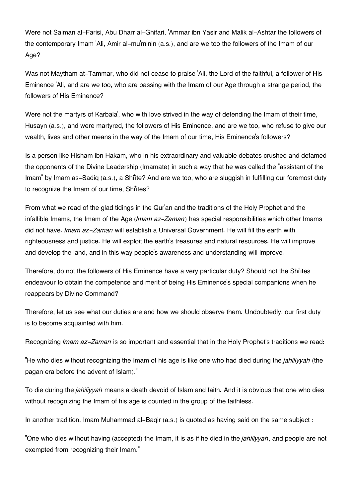Were not Salman al-Farisi, Abu Dharr al-Ghifari, 'Ammar ibn Yasir and Malik al-Ashtar the followers of the contemporary Imam 'Ali, Amir al-mu'minin (a.s.), and are we too the followers of the Imam of our Age?

Was not Maytham at-Tammar, who did not cease to praise 'Ali, the Lord of the faithful, a follower of His Eminence 'Ali, and are we too, who are passing with the Imam of our Age through a strange period, the followers of His Eminence?

Were not the martyrs of Karbala', who with love strived in the way of defending the Imam of their time, Husayn (a.s.), and were martyred, the followers of His Eminence, and are we too, who refuse to give our wealth, lives and other means in the way of the Imam of our time, His Eminence's followers?

Is a person like Hisham ibn Hakam, who in his extraordinary and valuable debates crushed and defamed the opponents of the Divine Leadership (Imamate) in such a way that he was called the "assistant of the Imam" by Imam as-Sadiq (a.s.), a Shi'ite? And are we too, who are sluggish in fulfilling our foremost duty to recognize the Imam of our time, Shi'ites?

From what we read of the glad tidings in the Qur'an and the traditions of the Holy Prophet and the infallible Imams, the Imam of the Age (*Imam az-Zaman*) has special responsibilities which other Imams did not have. *Imam az-Zaman* will establish a Universal Government. He will fill the earth with righteousness and justice. He will exploit the earth's treasures and natural resources. He will improve and develop the land, and in this way people's awareness and understanding will improve.

Therefore, do not the followers of His Eminence have a very particular duty? Should not the Shi'ites endeavour to obtain the competence and merit of being His Eminence's special companions when he reappears by Divine Command?

Therefore, let us see what our duties are and how we should observe them. Undoubtedly, our first duty is to become acquainted with him.

Recognizing *Imam az-Zaman* is so important and essential that in the Holy Prophet's traditions we read:

"He who dies without recognizing the Imam of his age is like one who had died during the *jahiliyyah* (the pagan era before the advent of Islam)."

To die during the *jahiliyyah* means a death devoid of Islam and faith. And it is obvious that one who dies without recognizing the Imam of his age is counted in the group of the faithless.

In another tradition, Imam Muhammad al-Baqir (a.s.) is quoted as having said on the same subject :

"One who dies without having (accepted) the Imam, it is as if he died in the *jahiliyyah*, and people are not exempted from recognizing their Imam."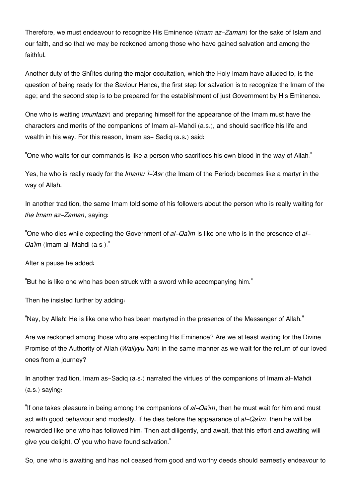Therefore, we must endeavour to recognize His Eminence (*Imam az-Zaman*) for the sake of Islam and our faith, and so that we may be reckoned among those who have gained salvation and among the faithful.

Another duty of the Shi'ites during the major occultation, which the Holy Imam have alluded to, is the question of being ready for the Saviour Hence, the first step for salvation is to recognize the Imam of the age; and the second step is to be prepared for the establishment of just Government by His Eminence.

One who is waiting (*muntazir*) and preparing himself for the appearance of the Imam must have the characters and merits of the companions of Imam al-Mahdi (a.s.), and should sacrifice his life and wealth in his way. For this reason, Imam as-Sadiq (a.s.) said:

"One who waits for our commands is like a person who sacrifices his own blood in the way of Allah."

Yes, he who is really ready for the *Imamu 'l-'Asr* (the Imam of the Period) becomes like a martyr in the way of Allah.

In another tradition, the same Imam told some of his followers about the person who is really waiting for *the Imam az-Zaman*, saying:

"One who dies while expecting the Government of *al-Qa'im* is like one who is in the presence of *al-Qa'im* (Imam al-Mahdi (a.s.)."

After a pause he added:

"But he is like one who has been struck with a sword while accompanying him."

Then he insisted further by adding:

"Nay, by Allah! He is like one who has been martyred in the presence of the Messenger of Allah."

Are we reckoned among those who are expecting His Eminence? Are we at least waiting for the Divine Promise of the Authority of Allah (*Waliyyu 'llah*) in the same manner as we wait for the return of our loved ones from a journey?

In another tradition, Imam as-Sadiq (a.s.) narrated the virtues of the companions of Imam al-Mahdi (a.s.) saying:

"If one takes pleasure in being among the companions of *al-Qa'im*, then he must wait for him and must act with good behaviour and modestly. If he dies before the appearance of *al-Qa'im*, then he will be rewarded like one who has followed him. Then act diligently, and await, that this effort and awaiting will give you delight, O' you who have found salvation."

So, one who is awaiting and has not ceased from good and worthy deeds should earnestly endeavour to